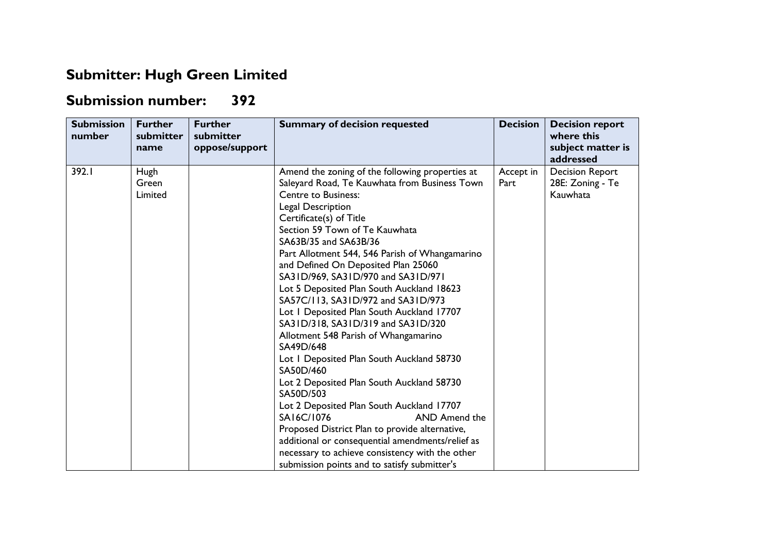## **Submitter: Hugh Green Limited**

## **Submission number: 392**

| <b>Submission</b><br>number | <b>Further</b><br>submitter<br>name | <b>Further</b><br>submitter<br>oppose/support | <b>Summary of decision requested</b>                                                                                                                                                                                                                                                                                                                                                                                                                                                                                                                                                                                                                                                                                                                                                                                                                                                                                                                                                                         | <b>Decision</b>   | <b>Decision report</b><br>where this<br>subject matter is<br>addressed |
|-----------------------------|-------------------------------------|-----------------------------------------------|--------------------------------------------------------------------------------------------------------------------------------------------------------------------------------------------------------------------------------------------------------------------------------------------------------------------------------------------------------------------------------------------------------------------------------------------------------------------------------------------------------------------------------------------------------------------------------------------------------------------------------------------------------------------------------------------------------------------------------------------------------------------------------------------------------------------------------------------------------------------------------------------------------------------------------------------------------------------------------------------------------------|-------------------|------------------------------------------------------------------------|
| 392.I                       | Hugh<br>Green<br>Limited            |                                               | Amend the zoning of the following properties at<br>Saleyard Road, Te Kauwhata from Business Town<br><b>Centre to Business:</b><br>Legal Description<br>Certificate(s) of Title<br>Section 59 Town of Te Kauwhata<br>SA63B/35 and SA63B/36<br>Part Allotment 544, 546 Parish of Whangamarino<br>and Defined On Deposited Plan 25060<br>SA31D/969, SA31D/970 and SA31D/971<br>Lot 5 Deposited Plan South Auckland 18623<br>SA57C/113, SA31D/972 and SA31D/973<br>Lot I Deposited Plan South Auckland 17707<br>SA31D/318, SA31D/319 and SA31D/320<br>Allotment 548 Parish of Whangamarino<br>SA49D/648<br>Lot I Deposited Plan South Auckland 58730<br>SA50D/460<br>Lot 2 Deposited Plan South Auckland 58730<br>SA50D/503<br>Lot 2 Deposited Plan South Auckland 17707<br>SA16C/1076<br>AND Amend the<br>Proposed District Plan to provide alternative,<br>additional or consequential amendments/relief as<br>necessary to achieve consistency with the other<br>submission points and to satisfy submitter's | Accept in<br>Part | <b>Decision Report</b><br>28E: Zoning - Te<br>Kauwhata                 |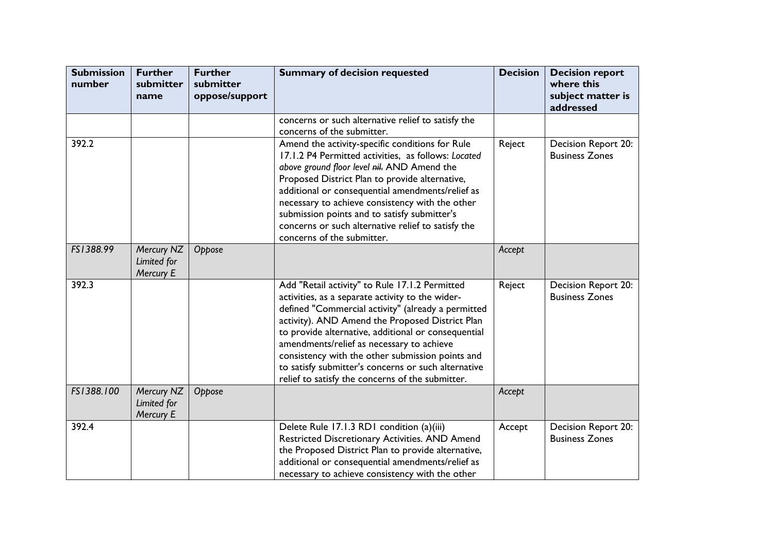| <b>Submission</b><br>number | <b>Further</b><br>submitter<br>name    | <b>Further</b><br>submitter<br>oppose/support | <b>Summary of decision requested</b>                                                                                                                                                                                                                                                                                                                                                                                                                                           | <b>Decision</b> | <b>Decision report</b><br>where this<br>subject matter is<br>addressed |
|-----------------------------|----------------------------------------|-----------------------------------------------|--------------------------------------------------------------------------------------------------------------------------------------------------------------------------------------------------------------------------------------------------------------------------------------------------------------------------------------------------------------------------------------------------------------------------------------------------------------------------------|-----------------|------------------------------------------------------------------------|
|                             |                                        |                                               | concerns or such alternative relief to satisfy the<br>concerns of the submitter.                                                                                                                                                                                                                                                                                                                                                                                               |                 |                                                                        |
| 392.2                       |                                        |                                               | Amend the activity-specific conditions for Rule<br>17.1.2 P4 Permitted activities, as follows: Located<br>above ground floor level nil. AND Amend the<br>Proposed District Plan to provide alternative,<br>additional or consequential amendments/relief as<br>necessary to achieve consistency with the other<br>submission points and to satisfy submitter's<br>concerns or such alternative relief to satisfy the<br>concerns of the submitter.                             | Reject          | Decision Report 20:<br><b>Business Zones</b>                           |
| FS1388.99                   | Mercury NZ<br>Limited for<br>Mercury E | Oppose                                        |                                                                                                                                                                                                                                                                                                                                                                                                                                                                                | Accept          |                                                                        |
| 392.3                       |                                        |                                               | Add "Retail activity" to Rule 17.1.2 Permitted<br>activities, as a separate activity to the wider-<br>defined "Commercial activity" (already a permitted<br>activity). AND Amend the Proposed District Plan<br>to provide alternative, additional or consequential<br>amendments/relief as necessary to achieve<br>consistency with the other submission points and<br>to satisfy submitter's concerns or such alternative<br>relief to satisfy the concerns of the submitter. | Reject          | Decision Report 20:<br><b>Business Zones</b>                           |
| FS1388.100                  | Mercury NZ<br>Limited for<br>Mercury E | Oppose                                        |                                                                                                                                                                                                                                                                                                                                                                                                                                                                                | Accept          |                                                                        |
| 392.4                       |                                        |                                               | Delete Rule 17.1.3 RD1 condition (a)(iii)<br>Restricted Discretionary Activities. AND Amend<br>the Proposed District Plan to provide alternative,<br>additional or consequential amendments/relief as<br>necessary to achieve consistency with the other                                                                                                                                                                                                                       | Accept          | Decision Report 20:<br><b>Business Zones</b>                           |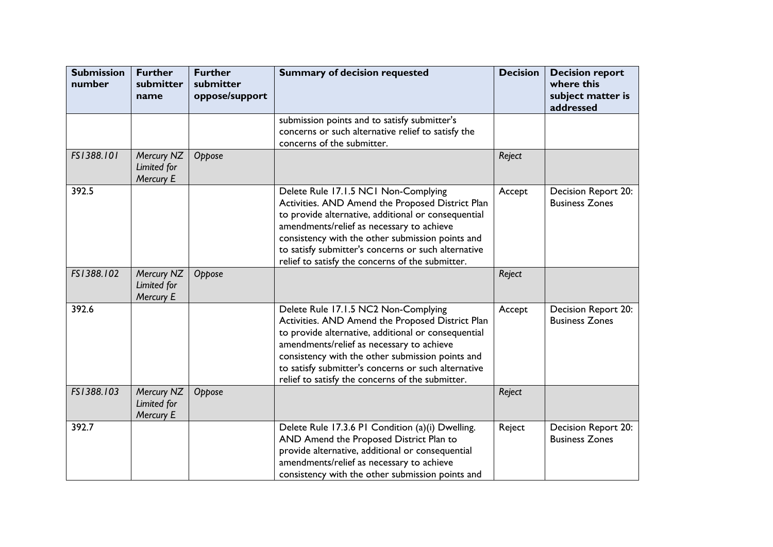| <b>Submission</b><br>number | <b>Further</b><br>submitter<br>name    | <b>Further</b><br>submitter<br>oppose/support | <b>Summary of decision requested</b>                                                                                                                                                                                                                                                                                                                        | <b>Decision</b> | <b>Decision report</b><br>where this<br>subject matter is<br>addressed |
|-----------------------------|----------------------------------------|-----------------------------------------------|-------------------------------------------------------------------------------------------------------------------------------------------------------------------------------------------------------------------------------------------------------------------------------------------------------------------------------------------------------------|-----------------|------------------------------------------------------------------------|
|                             |                                        |                                               | submission points and to satisfy submitter's<br>concerns or such alternative relief to satisfy the<br>concerns of the submitter.                                                                                                                                                                                                                            |                 |                                                                        |
| FS1388.101                  | Mercury NZ<br>Limited for<br>Mercury E | Oppose                                        |                                                                                                                                                                                                                                                                                                                                                             | Reject          |                                                                        |
| 392.5                       |                                        |                                               | Delete Rule 17.1.5 NC1 Non-Complying<br>Activities. AND Amend the Proposed District Plan<br>to provide alternative, additional or consequential<br>amendments/relief as necessary to achieve<br>consistency with the other submission points and<br>to satisfy submitter's concerns or such alternative<br>relief to satisfy the concerns of the submitter. | Accept          | Decision Report 20:<br><b>Business Zones</b>                           |
| FS1388.102                  | Mercury NZ<br>Limited for<br>Mercury E | Oppose                                        |                                                                                                                                                                                                                                                                                                                                                             | Reject          |                                                                        |
| 392.6                       |                                        |                                               | Delete Rule 17.1.5 NC2 Non-Complying<br>Activities. AND Amend the Proposed District Plan<br>to provide alternative, additional or consequential<br>amendments/relief as necessary to achieve<br>consistency with the other submission points and<br>to satisfy submitter's concerns or such alternative<br>relief to satisfy the concerns of the submitter. | Accept          | Decision Report 20:<br><b>Business Zones</b>                           |
| FS1388.103                  | Mercury NZ<br>Limited for<br>Mercury E | Oppose                                        |                                                                                                                                                                                                                                                                                                                                                             | Reject          |                                                                        |
| 392.7                       |                                        |                                               | Delete Rule 17.3.6 PI Condition (a)(i) Dwelling.<br>AND Amend the Proposed District Plan to<br>provide alternative, additional or consequential<br>amendments/relief as necessary to achieve<br>consistency with the other submission points and                                                                                                            | Reject          | Decision Report 20:<br><b>Business Zones</b>                           |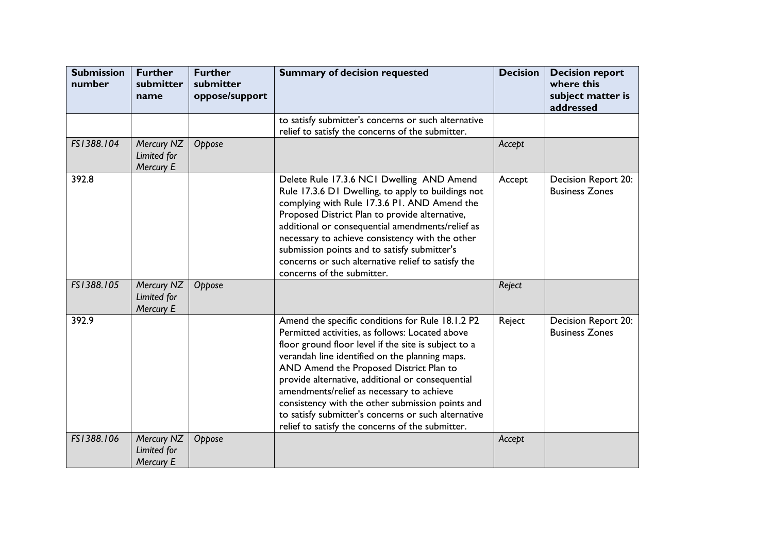| <b>Submission</b><br>number | <b>Further</b><br>submitter<br>name    | <b>Further</b><br>submitter<br>oppose/support | <b>Summary of decision requested</b>                                                                                                                                                                                                                                                                                                                                                                                                                                                                                     | <b>Decision</b> | <b>Decision report</b><br>where this<br>subject matter is<br>addressed |
|-----------------------------|----------------------------------------|-----------------------------------------------|--------------------------------------------------------------------------------------------------------------------------------------------------------------------------------------------------------------------------------------------------------------------------------------------------------------------------------------------------------------------------------------------------------------------------------------------------------------------------------------------------------------------------|-----------------|------------------------------------------------------------------------|
|                             |                                        |                                               | to satisfy submitter's concerns or such alternative<br>relief to satisfy the concerns of the submitter.                                                                                                                                                                                                                                                                                                                                                                                                                  |                 |                                                                        |
| FS1388.104                  | Mercury NZ<br>Limited for<br>Mercury E | Oppose                                        |                                                                                                                                                                                                                                                                                                                                                                                                                                                                                                                          | Accept          |                                                                        |
| 392.8                       |                                        |                                               | Delete Rule 17.3.6 NCI Dwelling AND Amend<br>Rule 17.3.6 D1 Dwelling, to apply to buildings not<br>complying with Rule 17.3.6 P1. AND Amend the<br>Proposed District Plan to provide alternative,<br>additional or consequential amendments/relief as<br>necessary to achieve consistency with the other<br>submission points and to satisfy submitter's<br>concerns or such alternative relief to satisfy the<br>concerns of the submitter.                                                                             | Accept          | Decision Report 20:<br><b>Business Zones</b>                           |
| FS1388.105                  | Mercury NZ<br>Limited for<br>Mercury E | Oppose                                        |                                                                                                                                                                                                                                                                                                                                                                                                                                                                                                                          | Reject          |                                                                        |
| 392.9                       |                                        |                                               | Amend the specific conditions for Rule 18.1.2 P2<br>Permitted activities, as follows: Located above<br>floor ground floor level if the site is subject to a<br>verandah line identified on the planning maps.<br>AND Amend the Proposed District Plan to<br>provide alternative, additional or consequential<br>amendments/relief as necessary to achieve<br>consistency with the other submission points and<br>to satisfy submitter's concerns or such alternative<br>relief to satisfy the concerns of the submitter. | Reject          | Decision Report 20:<br><b>Business Zones</b>                           |
| FS1388.106                  | Mercury NZ<br>Limited for<br>Mercury E | Oppose                                        |                                                                                                                                                                                                                                                                                                                                                                                                                                                                                                                          | Accept          |                                                                        |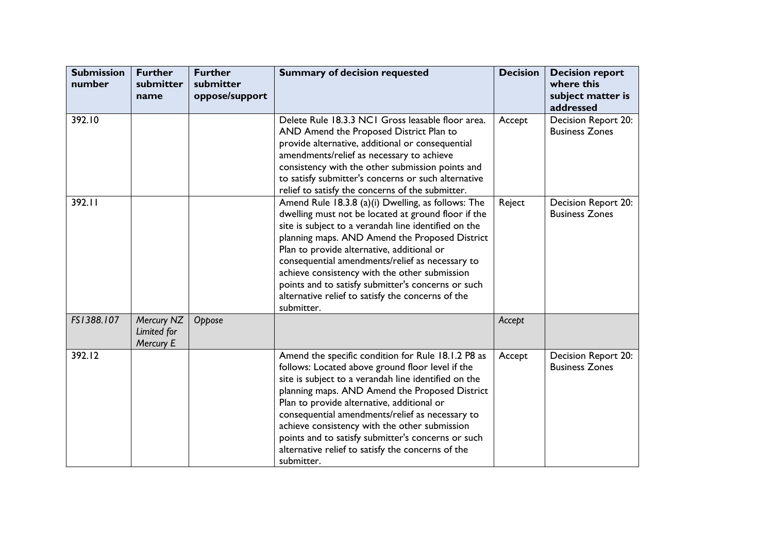| <b>Submission</b><br>number | <b>Further</b><br>submitter<br>name           | <b>Further</b><br>submitter<br>oppose/support | <b>Summary of decision requested</b>                                                                                                                                                                                                                                                                                                                                                                                                                                                           | <b>Decision</b> | <b>Decision report</b><br>where this<br>subject matter is<br>addressed |
|-----------------------------|-----------------------------------------------|-----------------------------------------------|------------------------------------------------------------------------------------------------------------------------------------------------------------------------------------------------------------------------------------------------------------------------------------------------------------------------------------------------------------------------------------------------------------------------------------------------------------------------------------------------|-----------------|------------------------------------------------------------------------|
| 392.10                      |                                               |                                               | Delete Rule 18.3.3 NCI Gross leasable floor area.<br>AND Amend the Proposed District Plan to<br>provide alternative, additional or consequential<br>amendments/relief as necessary to achieve<br>consistency with the other submission points and<br>to satisfy submitter's concerns or such alternative<br>relief to satisfy the concerns of the submitter.                                                                                                                                   | Accept          | Decision Report 20:<br><b>Business Zones</b>                           |
| 392.11                      |                                               |                                               | Amend Rule 18.3.8 (a)(i) Dwelling, as follows: The<br>dwelling must not be located at ground floor if the<br>site is subject to a verandah line identified on the<br>planning maps. AND Amend the Proposed District<br>Plan to provide alternative, additional or<br>consequential amendments/relief as necessary to<br>achieve consistency with the other submission<br>points and to satisfy submitter's concerns or such<br>alternative relief to satisfy the concerns of the<br>submitter. | Reject          | Decision Report 20:<br><b>Business Zones</b>                           |
| FS1388.107                  | Mercury NZ<br>Limited for<br><b>Mercury E</b> | Oppose                                        |                                                                                                                                                                                                                                                                                                                                                                                                                                                                                                | Accept          |                                                                        |
| 392.12                      |                                               |                                               | Amend the specific condition for Rule 18.1.2 P8 as<br>follows: Located above ground floor level if the<br>site is subject to a verandah line identified on the<br>planning maps. AND Amend the Proposed District<br>Plan to provide alternative, additional or<br>consequential amendments/relief as necessary to<br>achieve consistency with the other submission<br>points and to satisfy submitter's concerns or such<br>alternative relief to satisfy the concerns of the<br>submitter.    | Accept          | Decision Report 20:<br><b>Business Zones</b>                           |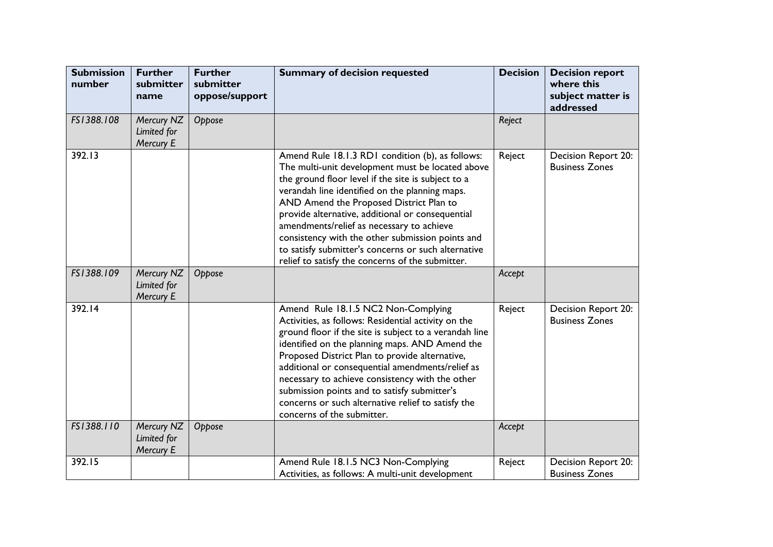| <b>Submission</b><br>number | <b>Further</b><br>submitter<br>name    | <b>Further</b><br>submitter<br>oppose/support | <b>Summary of decision requested</b>                                                                                                                                                                                                                                                                                                                                                                                                                                                                                    | <b>Decision</b> | <b>Decision report</b><br>where this<br>subject matter is<br>addressed |
|-----------------------------|----------------------------------------|-----------------------------------------------|-------------------------------------------------------------------------------------------------------------------------------------------------------------------------------------------------------------------------------------------------------------------------------------------------------------------------------------------------------------------------------------------------------------------------------------------------------------------------------------------------------------------------|-----------------|------------------------------------------------------------------------|
| FS1388.108                  | Mercury NZ<br>Limited for<br>Mercury E | Oppose                                        |                                                                                                                                                                                                                                                                                                                                                                                                                                                                                                                         | Reject          |                                                                        |
| 392.13                      |                                        |                                               | Amend Rule 18.1.3 RD1 condition (b), as follows:<br>The multi-unit development must be located above<br>the ground floor level if the site is subject to a<br>verandah line identified on the planning maps.<br>AND Amend the Proposed District Plan to<br>provide alternative, additional or consequential<br>amendments/relief as necessary to achieve<br>consistency with the other submission points and<br>to satisfy submitter's concerns or such alternative<br>relief to satisfy the concerns of the submitter. | Reject          | Decision Report 20:<br><b>Business Zones</b>                           |
| FS1388.109                  | Mercury NZ<br>Limited for<br>Mercury E | Oppose                                        |                                                                                                                                                                                                                                                                                                                                                                                                                                                                                                                         | Accept          |                                                                        |
| 392.14                      |                                        |                                               | Amend Rule 18.1.5 NC2 Non-Complying<br>Activities, as follows: Residential activity on the<br>ground floor if the site is subject to a verandah line<br>identified on the planning maps. AND Amend the<br>Proposed District Plan to provide alternative,<br>additional or consequential amendments/relief as<br>necessary to achieve consistency with the other<br>submission points and to satisfy submitter's<br>concerns or such alternative relief to satisfy the<br>concerns of the submitter.                     | Reject          | Decision Report 20:<br><b>Business Zones</b>                           |
| FS1388.110                  | Mercury NZ<br>Limited for<br>Mercury E | Oppose                                        |                                                                                                                                                                                                                                                                                                                                                                                                                                                                                                                         | Accept          |                                                                        |
| 392.15                      |                                        |                                               | Amend Rule 18.1.5 NC3 Non-Complying<br>Activities, as follows: A multi-unit development                                                                                                                                                                                                                                                                                                                                                                                                                                 | Reject          | Decision Report 20:<br><b>Business Zones</b>                           |